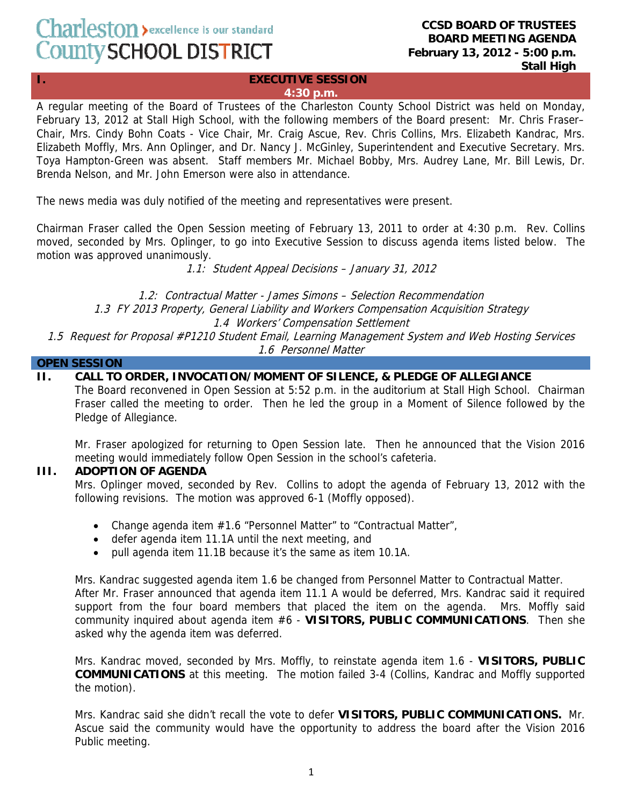# Charleston > excellence is our standard County SCHOOL DISTRICT

#### **CCSD BOARD OF TRUSTEES BOARD MEETING AGENDA February 13, 2012 - 5:00 p.m. Stall High**

#### **I. EXECUTIVE SESSION 4:30 p.m.**

A regular meeting of the Board of Trustees of the Charleston County School District was held on Monday, February 13, 2012 at Stall High School, with the following members of the Board present: Mr. Chris Fraser– Chair, Mrs. Cindy Bohn Coats - Vice Chair, Mr. Craig Ascue, Rev. Chris Collins, Mrs. Elizabeth Kandrac, Mrs. Elizabeth Moffly, Mrs. Ann Oplinger, and Dr. Nancy J. McGinley, Superintendent and Executive Secretary. Mrs. Toya Hampton-Green was absent. Staff members Mr. Michael Bobby, Mrs. Audrey Lane, Mr. Bill Lewis, Dr. Brenda Nelson, and Mr. John Emerson were also in attendance.

The news media was duly notified of the meeting and representatives were present.

Chairman Fraser called the Open Session meeting of February 13, 2011 to order at 4:30 p.m. Rev. Collins moved, seconded by Mrs. Oplinger, to go into Executive Session to discuss agenda items listed below. The motion was approved unanimously.

1.1: Student Appeal Decisions – January 31, 2012

1.2: Contractual Matter - James Simons – Selection Recommendation 1.3 FY 2013 Property, General Liability and Workers Compensation Acquisition Strategy 1.4 Workers' Compensation Settlement

1.5 Request for Proposal #P1210 Student Email, Learning Management System and Web Hosting Services

1.6 Personnel Matter

#### **OPEN SESSION**

**II. CALL TO ORDER, INVOCATION/MOMENT OF SILENCE, & PLEDGE OF ALLEGIANCE**  The Board reconvened in Open Session at 5:52 p.m. in the auditorium at Stall High School. Chairman Fraser called the meeting to order. Then he led the group in a Moment of Silence followed by the Pledge of Allegiance.

Mr. Fraser apologized for returning to Open Session late. Then he announced that the Vision 2016 meeting would immediately follow Open Session in the school's cafeteria.

## **III. ADOPTION OF AGENDA**

Mrs. Oplinger moved, seconded by Rev. Collins to adopt the agenda of February 13, 2012 with the following revisions. The motion was approved 6-1 (Moffly opposed).

- Change agenda item #1.6 "Personnel Matter" to "Contractual Matter",
- defer agenda item 11.1A until the next meeting, and
- pull agenda item 11.1B because it's the same as item 10.1A.

Mrs. Kandrac suggested agenda item 1.6 be changed from Personnel Matter to Contractual Matter.

After Mr. Fraser announced that agenda item 11.1 A would be deferred, Mrs. Kandrac said it required support from the four board members that placed the item on the agenda. Mrs. Moffly said community inquired about agenda item #6 - **VISITORS, PUBLIC COMMUNICATIONS**. Then she asked why the agenda item was deferred.

Mrs. Kandrac moved, seconded by Mrs. Moffly, to reinstate agenda item 1.6 - **VISITORS, PUBLIC COMMUNICATIONS** at this meeting. The motion failed 3-4 (Collins, Kandrac and Moffly supported the motion).

Mrs. Kandrac said she didn't recall the vote to defer **VISITORS, PUBLIC COMMUNICATIONS.** Mr. Ascue said the community would have the opportunity to address the board after the Vision 2016 Public meeting.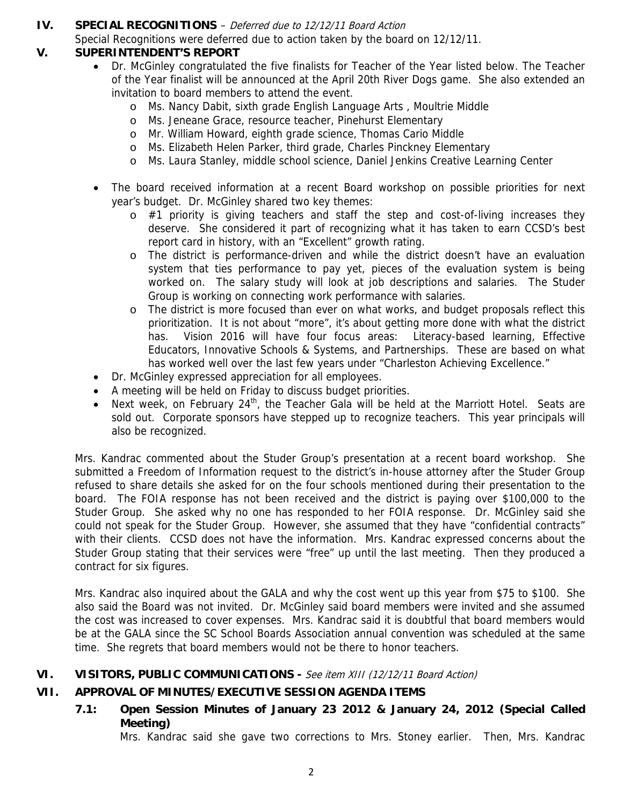**IV. SPECIAL RECOGNITIONS** – Deferred due to 12/12/11 Board Action

Special Recognitions were deferred due to action taken by the board on 12/12/11.

# **V. SUPERINTENDENT'S REPORT**

- Dr. McGinley congratulated the five finalists for Teacher of the Year listed below. The Teacher of the Year finalist will be announced at the April 20th River Dogs game. She also extended an invitation to board members to attend the event.
	- o Ms. Nancy Dabit, sixth grade English Language Arts , Moultrie Middle
	- o Ms. Jeneane Grace, resource teacher, Pinehurst Elementary
	- o Mr. William Howard, eighth grade science, Thomas Cario Middle
	- o Ms. Elizabeth Helen Parker, third grade, Charles Pinckney Elementary
	- o Ms. Laura Stanley, middle school science, Daniel Jenkins Creative Learning Center
- The board received information at a recent Board workshop on possible priorities for next year's budget. Dr. McGinley shared two key themes:
	- $\circ$  #1 priority is giving teachers and staff the step and cost-of-living increases they deserve. She considered it part of recognizing what it has taken to earn CCSD's best report card in history, with an "Excellent" growth rating.
	- o The district is performance-driven and while the district doesn't have an evaluation system that ties performance to pay yet, pieces of the evaluation system is being worked on. The salary study will look at job descriptions and salaries. The Studer Group is working on connecting work performance with salaries.
	- o The district is more focused than ever on what works, and budget proposals reflect this prioritization. It is not about "more", it's about getting more done with what the district has. Vision 2016 will have four focus areas: Literacy-based learning, Effective Educators, Innovative Schools & Systems, and Partnerships. These are based on what has worked well over the last few years under "Charleston Achieving Excellence."
- Dr. McGinley expressed appreciation for all employees.
- A meeting will be held on Friday to discuss budget priorities.
- Next week, on February 24<sup>th</sup>, the Teacher Gala will be held at the Marriott Hotel. Seats are sold out. Corporate sponsors have stepped up to recognize teachers. This year principals will also be recognized.

Mrs. Kandrac commented about the Studer Group's presentation at a recent board workshop. She submitted a Freedom of Information request to the district's in-house attorney after the Studer Group refused to share details she asked for on the four schools mentioned during their presentation to the board. The FOIA response has not been received and the district is paying over \$100,000 to the Studer Group. She asked why no one has responded to her FOIA response. Dr. McGinley said she could not speak for the Studer Group. However, she assumed that they have "confidential contracts" with their clients. CCSD does not have the information. Mrs. Kandrac expressed concerns about the Studer Group stating that their services were "free" up until the last meeting. Then they produced a contract for six figures.

Mrs. Kandrac also inquired about the GALA and why the cost went up this year from \$75 to \$100. She also said the Board was not invited. Dr. McGinley said board members were invited and she assumed the cost was increased to cover expenses. Mrs. Kandrac said it is doubtful that board members would be at the GALA since the SC School Boards Association annual convention was scheduled at the same time. She regrets that board members would not be there to honor teachers.

## **VI. VISITORS, PUBLIC COMMUNICATIONS -** See item XIII (12/12/11 Board Action)

# **VII. APPROVAL OF MINUTES/EXECUTIVE SESSION AGENDA ITEMS**

 **7.1: Open Session Minutes of January 23 2012 & January 24, 2012 (Special Called Meeting)** 

Mrs. Kandrac said she gave two corrections to Mrs. Stoney earlier. Then, Mrs. Kandrac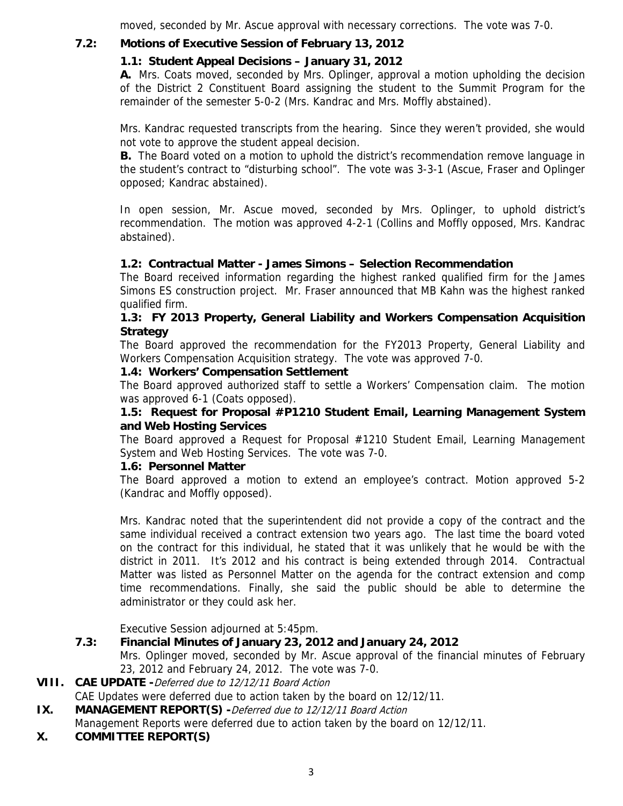moved, seconded by Mr. Ascue approval with necessary corrections. The vote was 7-0.

# **7.2: Motions of Executive Session of February 13, 2012**

# **1.1: Student Appeal Decisions – January 31, 2012**

**A.** Mrs. Coats moved, seconded by Mrs. Oplinger, approval a motion upholding the decision of the District 2 Constituent Board assigning the student to the Summit Program for the remainder of the semester 5-0-2 (Mrs. Kandrac and Mrs. Moffly abstained).

Mrs. Kandrac requested transcripts from the hearing. Since they weren't provided, she would not vote to approve the student appeal decision.

**B.** The Board voted on a motion to uphold the district's recommendation remove language in the student's contract to "disturbing school". The vote was 3-3-1 (Ascue, Fraser and Oplinger opposed; Kandrac abstained).

In open session, Mr. Ascue moved, seconded by Mrs. Oplinger, to uphold district's recommendation. The motion was approved 4-2-1 (Collins and Moffly opposed, Mrs. Kandrac abstained).

# **1.2: Contractual Matter - James Simons – Selection Recommendation**

The Board received information regarding the highest ranked qualified firm for the James Simons ES construction project. Mr. Fraser announced that MB Kahn was the highest ranked qualified firm.

## **1.3: FY 2013 Property, General Liability and Workers Compensation Acquisition Strategy**

The Board approved the recommendation for the FY2013 Property, General Liability and Workers Compensation Acquisition strategy. The vote was approved 7-0.

#### **1.4: Workers' Compensation Settlement**

The Board approved authorized staff to settle a Workers' Compensation claim. The motion was approved 6-1 (Coats opposed).

## **1.5: Request for Proposal #P1210 Student Email, Learning Management System and Web Hosting Services**

The Board approved a Request for Proposal #1210 Student Email, Learning Management System and Web Hosting Services. The vote was 7-0.

## **1.6: Personnel Matter**

The Board approved a motion to extend an employee's contract. Motion approved 5-2 (Kandrac and Moffly opposed).

Mrs. Kandrac noted that the superintendent did not provide a copy of the contract and the same individual received a contract extension two years ago. The last time the board voted on the contract for this individual, he stated that it was unlikely that he would be with the district in 2011. It's 2012 and his contract is being extended through 2014. Contractual Matter was listed as Personnel Matter on the agenda for the contract extension and comp time recommendations. Finally, she said the public should be able to determine the administrator or they could ask her.

Executive Session adjourned at 5:45pm.

## **7.3: Financial Minutes of January 23, 2012 and January 24, 2012**

Mrs. Oplinger moved, seconded by Mr. Ascue approval of the financial minutes of February 23, 2012 and February 24, 2012. The vote was 7-0.

## **VIII. CAE UPDATE -**Deferred due to 12/12/11 Board Action

CAE Updates were deferred due to action taken by the board on 12/12/11.

## **IX. MANAGEMENT REPORT(S) -**Deferred due to 12/12/11 Board Action

Management Reports were deferred due to action taken by the board on 12/12/11.

**X. COMMITTEE REPORT(S)**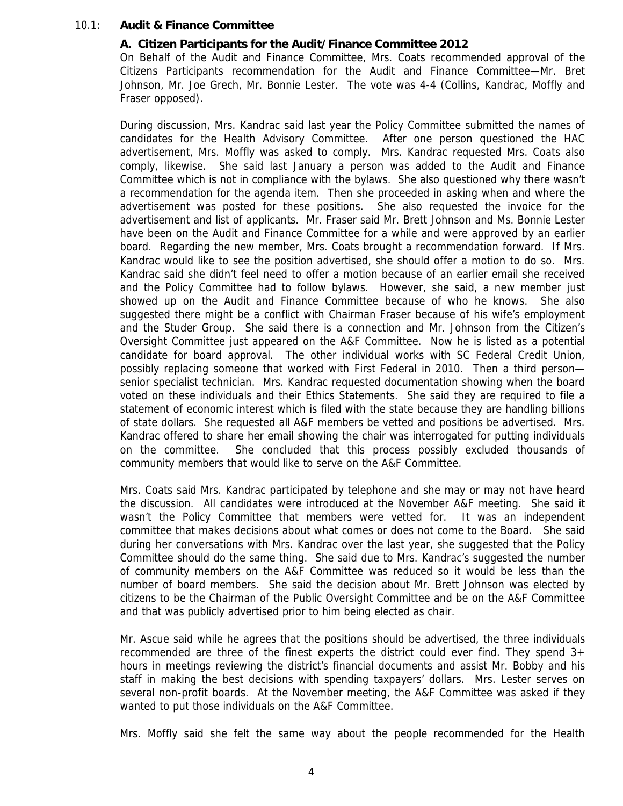#### 10.1: **Audit & Finance Committee**

#### **A. Citizen Participants for the Audit/Finance Committee 2012**

On Behalf of the Audit and Finance Committee, Mrs. Coats recommended approval of the Citizens Participants recommendation for the Audit and Finance Committee—Mr. Bret Johnson, Mr. Joe Grech, Mr. Bonnie Lester. The vote was 4-4 (Collins, Kandrac, Moffly and Fraser opposed).

During discussion, Mrs. Kandrac said last year the Policy Committee submitted the names of candidates for the Health Advisory Committee. After one person questioned the HAC advertisement, Mrs. Moffly was asked to comply. Mrs. Kandrac requested Mrs. Coats also comply, likewise. She said last January a person was added to the Audit and Finance Committee which is not in compliance with the bylaws. She also questioned why there wasn't a recommendation for the agenda item. Then she proceeded in asking when and where the advertisement was posted for these positions. She also requested the invoice for the advertisement and list of applicants. Mr. Fraser said Mr. Brett Johnson and Ms. Bonnie Lester have been on the Audit and Finance Committee for a while and were approved by an earlier board. Regarding the new member, Mrs. Coats brought a recommendation forward. If Mrs. Kandrac would like to see the position advertised, she should offer a motion to do so. Mrs. Kandrac said she didn't feel need to offer a motion because of an earlier email she received and the Policy Committee had to follow bylaws. However, she said, a new member just showed up on the Audit and Finance Committee because of who he knows. She also suggested there might be a conflict with Chairman Fraser because of his wife's employment and the Studer Group. She said there is a connection and Mr. Johnson from the Citizen's Oversight Committee just appeared on the A&F Committee. Now he is listed as a potential candidate for board approval. The other individual works with SC Federal Credit Union, possibly replacing someone that worked with First Federal in 2010. Then a third person senior specialist technician. Mrs. Kandrac requested documentation showing when the board voted on these individuals and their Ethics Statements. She said they are required to file a statement of economic interest which is filed with the state because they are handling billions of state dollars. She requested all A&F members be vetted and positions be advertised. Mrs. Kandrac offered to share her email showing the chair was interrogated for putting individuals on the committee. She concluded that this process possibly excluded thousands of community members that would like to serve on the A&F Committee.

Mrs. Coats said Mrs. Kandrac participated by telephone and she may or may not have heard the discussion. All candidates were introduced at the November A&F meeting. She said it wasn't the Policy Committee that members were vetted for. It was an independent committee that makes decisions about what comes or does not come to the Board. She said during her conversations with Mrs. Kandrac over the last year, she suggested that the Policy Committee should do the same thing. She said due to Mrs. Kandrac's suggested the number of community members on the A&F Committee was reduced so it would be less than the number of board members. She said the decision about Mr. Brett Johnson was elected by citizens to be the Chairman of the Public Oversight Committee and be on the A&F Committee and that was publicly advertised prior to him being elected as chair.

Mr. Ascue said while he agrees that the positions should be advertised, the three individuals recommended are three of the finest experts the district could ever find. They spend  $3+$ hours in meetings reviewing the district's financial documents and assist Mr. Bobby and his staff in making the best decisions with spending taxpayers' dollars. Mrs. Lester serves on several non-profit boards. At the November meeting, the A&F Committee was asked if they wanted to put those individuals on the A&F Committee.

Mrs. Moffly said she felt the same way about the people recommended for the Health